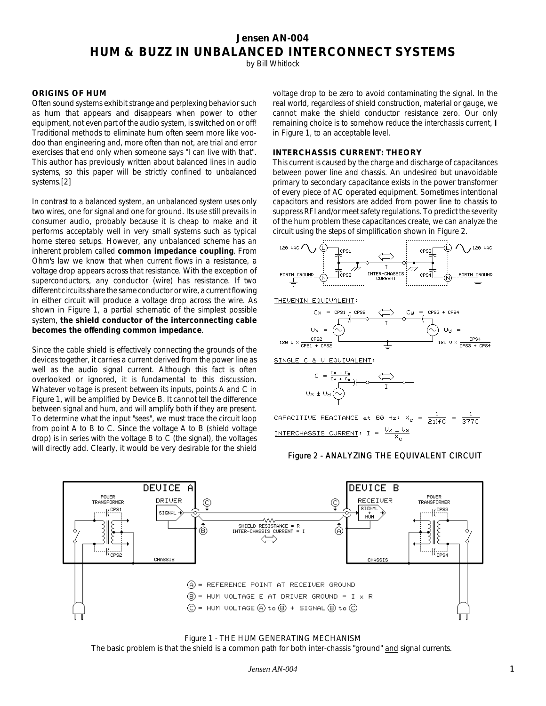# **Jensen AN-004 HUM & BUZZ IN UNBALANCED INTERCONNECT SYSTEMS**

by Bill Whitlock

## **ORIGINS OF HUM**

Often sound systems exhibit strange and perplexing behavior such as hum that appears and disappears when power to other equipment, not even part of the audio system, is switched on or off! Traditional methods to eliminate hum often seem more like voodoo than engineering and, more often than not, are trial and error exercises that end only when someone says "I can live with that". This author has previously written about *balanced* lines in audio systems, so this paper will be strictly confined to unbalanced systems.[2]

In contrast to a balanced system, an unbalanced system uses only two wires, one for signal and one for ground. Its use still prevails in consumer audio, probably because it is cheap to make and it performs acceptably well in very small systems such as typical home stereo setups. However, any unbalanced scheme has an inherent problem called *common impedance coupling*. From Ohm's law we know that when current flows in a resistance, a voltage drop appears across that resistance. With the exception of superconductors, any conductor (wire) has resistance. If two different circuits share the same conductor or wire, a current flowing in either circuit will produce a voltage drop across the wire. As shown in Figure 1, a partial schematic of the simplest possible system, *the shield conductor of the interconnecting cable becomes the offending common impedance*.

Since the cable shield is effectively connecting the grounds of the devices together, it carries a current derived from the power line as well as the audio signal current. Although this fact is often overlooked or ignored, it is fundamental to this discussion. Whatever voltage is present between its inputs, points A and C in Figure 1, will be amplified by Device B. It cannot tell the difference between signal and hum, and will amplify both if they are present. To determine what the input "sees", we must trace the circuit loop from point A to B to C. Since the voltage A to B (shield voltage drop) is in series with the voltage B to C (the signal), the voltages will directly add. Clearly, it would be very desirable for the shield

voltage drop to be zero to avoid contaminating the signal. In the real world, regardless of shield construction, material or gauge, *we cannot make the shield conductor resistance zero*. Our only remaining choice is to somehow reduce the interchassis current, *I* in Figure 1, to an acceptable level.

## **INTERCHASSIS CURRENT: THEORY**

This current is caused by the charge and discharge of capacitances between power line and chassis. An undesired but unavoidable primary to secondary capacitance exists in the power transformer of every piece of AC operated equipment. Sometimes intentional capacitors and resistors are added from power line to chassis to suppress RFI and/or meet safety regulations. To predict the severity of the hum problem these capacitances create, we can analyze the circuit using the steps of simplification shown in Figure 2.



CAPACITIVE REACTANCE at 60 Hz:  $X_c = \frac{1}{2\pi f C} = \frac{1}{377C}$ INTERCHASSIS CURRENT: I =





Figure 1 - THE HUM GENERATING MECHANISM The basic problem is that the shield is a common path for both inter-chassis "ground" and signal currents.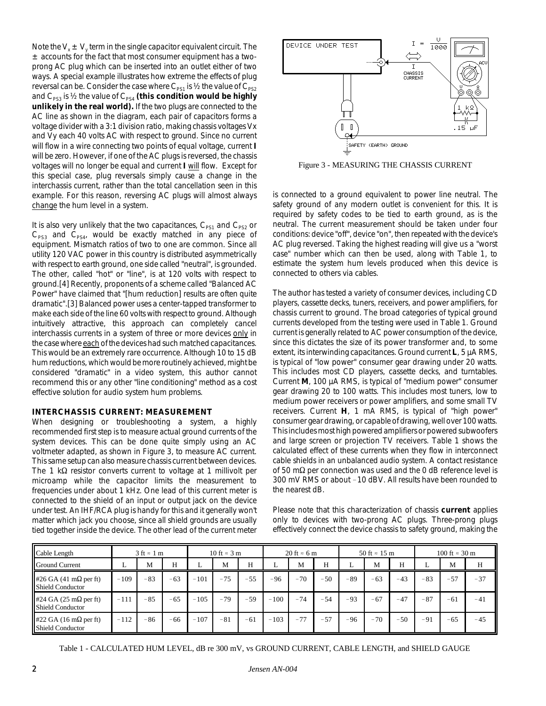Note the  $\mathbf{V}_{\mathbf{x}} \pm \mathbf{V}_{\mathbf{y}}$  term in the single capacitor equivalent circuit. The  $\pm$  accounts for the fact that most consumer equipment has a twoprong AC plug which can be inserted into an outlet either of two ways. A special example illustrates how extreme the effects of plug reversal can be. Consider the case where  $C_{PS1}$  is  $\frac{1}{2}$  the value of  $C_{PS2}$ and  $C_{PS3}$  is ½ the value of  $C_{PS4}$  *(this condition would be highly unlikely in the real world).* If the two plugs are connected to the AC line as shown in the diagram, each pair of capacitors forms a voltage divider with a 3:1 division ratio, making chassis voltages Vx and Vy each 40 volts AC with respect to ground. Since no current will flow in a wire connecting two points of equal voltage, current *I* will be zero. However, if one of the AC plugs is reversed, the chassis voltages will no longer be equal and current *I* will flow. Except for this special case, plug reversals simply cause a change in the interchassis current, rather than the total cancellation seen in this example. For this reason, reversing AC plugs will almost always change the hum level in a system.

It is also very unlikely that the two capacitances,  $C_{PS1}$  and  $C_{PS2}$  or  $C_{PS3}$  and  $C_{PS4}$ , would be exactly matched in any piece of equipment. Mismatch ratios of two to one are common. Since all utility 120 VAC power in this country is distributed *asymmetrically* with respect to earth ground, one side called "neutral", is grounded. The other, called "hot" or "line", is at 120 volts with respect to ground.[4] Recently, proponents of a scheme called "Balanced AC Power" have claimed that "[hum reduction] results are often quite dramatic".[3] Balanced power uses a center-tapped transformer to make each side of the line 60 volts with respect to ground. Although intuitively attractive, this approach can completely cancel interchassis currents in a system of three or more devices only in the case where each of the devices had such matched capacitances. This would be an extremely rare occurrence. Although 10 to 15 dB hum reductions, which would be more routinely achieved, might be considered "dramatic" in a video system, this author cannot recommend this or any other "line conditioning" method as a cost effective solution for audio system hum problems.

#### **INTERCHASSIS CURRENT: MEASUREMENT**

When designing or troubleshooting a system, a highly recommended first step is to measure actual ground currents of the system devices. This can be done quite simply using an AC voltmeter adapted, as shown in Figure 3, to measure AC current. This same setup can also measure chassis current between devices. The 1  $k\Omega$  resistor converts current to voltage at 1 millivolt per microamp while the capacitor limits the measurement to frequencies under about 1 kHz. One lead of this current meter is connected to the shield of an input or output jack on the device under test. An IHF/RCA plug is handy for this and it generally won't matter which jack you choose, since all shield grounds are usually tied together inside the device. The other lead of the current meter



Figure 3 - MEASURING THE CHASSIS CURRENT

is connected to a ground equivalent to power line neutral. The safety ground of any modern outlet is convenient for this. It is required by safety codes to be tied to earth ground, as is the neutral. The current measurement should be taken under four conditions: device "off", device "on", then repeated with the device's AC plug reversed. Taking the highest reading will give us a "worst case" number which can then be used, along with Table 1, to estimate the system hum levels produced when this device is connected to others via cables.

The author has tested a variety of consumer devices, including CD players, cassette decks, tuners, receivers, and power amplifiers, for chassis current to ground. The broad categories of typical ground currents developed from the testing were used in Table 1. Ground current is generally related to AC power consumption of the device, since this dictates the size of its power transformer and, to some extent, its interwinding capacitances. Ground current **L**, 5 µA RMS, is typical of "low power" consumer gear drawing under 20 watts. This includes most CD players, cassette decks, and turntables. Current **M**, 100 µA RMS, is typical of "medium power" consumer gear drawing 20 to 100 watts. This includes most tuners, low to medium power receivers or power amplifiers, and some small TV receivers. Current **H**, 1 mA RMS, is typical of "high power" consumer gear drawing, or capable of drawing, well over 100 watts. This includes most high powered amplifiers or powered subwoofers and large screen or projection TV receivers. Table 1 shows the calculated effect of these currents when they flow in interconnect cable shields in an unbalanced audio system. A contact resistance of 50 m $\Omega$  per connection was used and the 0 dB reference level is 300 mV RMS or about -10 dBV. All results have been rounded to the nearest dB.

*Please note that this characterization of chassis current applies only to devices with two-prong AC plugs*. Three-prong plugs effectively connect the device chassis to safety ground, making the

| Cable Length                                                            | $3 \text{ ft} \approx 1 \text{ m}$ |       |       | 10 ft $\approx$ 3 m |       |       | $20 \text{ ft} \approx 6 \text{ m}$ |       |       | 50 ft $\approx$ 15 m |       |       | 100 ft $\approx$ 30 m |       |       |
|-------------------------------------------------------------------------|------------------------------------|-------|-------|---------------------|-------|-------|-------------------------------------|-------|-------|----------------------|-------|-------|-----------------------|-------|-------|
| <b>Ground Current</b>                                                   | ∸                                  | M     | Н     |                     | M     | Н     |                                     | M     | Н     |                      | M     | Н     |                       | M     | Н     |
| #26 GA (41 m $\Omega$ per ft)<br><b>Shield Conductor</b>                | $-109$                             | $-83$ | $-63$ | $-101$              | $-75$ | $-55$ | $-96$                               | $-70$ | $-50$ | $-89$                | $-63$ | $-43$ | $-83$                 | $-57$ | $-37$ |
| #24 GA (25 m $\Omega$ per ft)<br><b>Shield Conductor</b>                | $-111$                             | $-85$ | $-65$ | $-105$              | $-79$ | $-59$ | $-100$                              | $-74$ | $-54$ | $-93$                | $-67$ | $-47$ | $-87$                 | $-61$ | $-41$ |
| #22 GA $(16 \text{ m}\Omega \text{ per ft})$<br><b>Shield Conductor</b> | $-112$                             | -86   | $-66$ | $-107$              | $-81$ | $-61$ | $-103$                              | $-77$ | $-57$ | $-96$                | $-70$ | $-50$ | $-91$                 | $-65$ | $-45$ |

Table 1 - CALCULATED HUM LEVEL, dB re 300 mV, vs GROUND CURRENT, CABLE LENGTH, and SHIELD GAUGE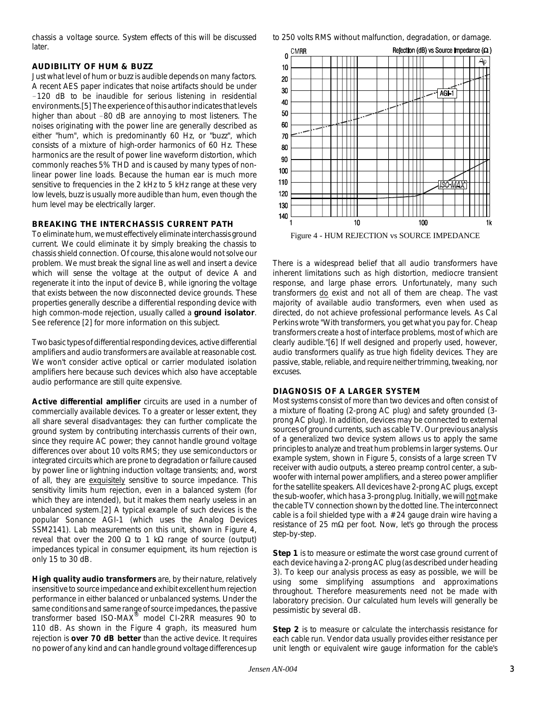chassis a *voltage* source. System effects of this will be discussed later.

#### **AUDIBILITY OF HUM & BUZZ**

Just what level of hum or buzz is audible depends on many factors. A recent AES paper indicates that noise artifacts should be under -120 dB to be inaudible for serious listening in residential environments.[5] The experience of this author indicates that levels higher than about  $-80$  dB are annoying to most listeners. The noises originating with the power line are generally described as either "hum", which is predominantly 60 Hz, or "buzz", which consists of a mixture of high-order harmonics of 60 Hz. These harmonics are the result of power line waveform distortion, which commonly reaches 5% THD and is caused by many types of nonlinear power line loads. Because the human ear is much more sensitive to frequencies in the 2 kHz to 5 kHz range at these very low levels, buzz is usually more audible than hum, even though the hum level may be electrically larger.

### **BREAKING THE INTERCHASSIS CURRENT PATH**

To eliminate hum, we must effectively eliminate interchassis ground current. We could eliminate it by simply breaking the chassis to chassis shield connection. Of course, this alone would not solve our problem. We must break the signal line as well and insert a device which will sense the voltage at the output of device A and regenerate it into the input of device B, while ignoring the voltage that exists between the now disconnected device grounds. These properties generally describe a differential responding device with high common-mode rejection, usually called a *ground isolator*. *See reference* [2] *for more information on this subject*.

Two basic types of differential responding devices, active differential amplifiers and audio transformers are available at reasonable cost. We won't consider active optical or carrier modulated isolation amplifiers here because such devices which also have acceptable audio performance are still quite expensive.

*Active differential amplifier* circuits are used in a number of commercially available devices. To a greater or lesser extent, they all share several disadvantages: they can further complicate the ground system by contributing interchassis currents of their own, since they require AC power; they cannot handle ground voltage differences over about 10 volts RMS; they use semiconductors or integrated circuits which are prone to degradation or failure caused by power line or lightning induction voltage transients; and, worst of all, they are exquisitely sensitive to source impedance. This sensitivity limits hum rejection, even in a *balanced* system (for which they are intended), but it makes them nearly useless in an unbalanced system.[2] A typical example of such devices is the popular Sonance AGI-1 (which uses the Analog Devices SSM2141). Lab measurements on this unit, shown in Figure 4, reveal that over the 200  $\Omega$  to 1 k $\Omega$  range of source (output) impedances typical in consumer equipment, its hum rejection is only 15 to 30 dB.

*High quality audio transformers* are, by their nature, relatively insensitive to source impedance and exhibit excellent hum rejection performance in *either* balanced or unbalanced systems. Under the same conditions and same range of source impedances, the passive transformer based ISO-MAX® model CI-2RR measures 90 to 110 dB. As shown in the Figure 4 graph, its measured hum rejection is *over 70 dB better* than the active device. It requires no power of any kind and can handle ground voltage differences up to 250 volts RMS without malfunction, degradation, or damage.



Figure 4 - HUM REJECTION vs SOURCE IMPEDANCE

There is a widespread belief that *all* audio transformers have inherent limitations such as high distortion, mediocre transient response, and large phase errors. Unfortunately, many such transformers do exist and not all of them are cheap. The vast majority of available audio transformers, even when used as directed, do not achieve professional performance levels. As Cal Perkins wrote "With transformers, you get what you pay for. Cheap transformers create a host of interface problems, most of which are clearly audible."[6] If well designed and properly used, however, audio transformers qualify as true high fidelity devices. They are passive, stable, reliable, and require neither trimming, tweaking, nor excuses.

## **DIAGNOSIS OF A LARGER SYSTEM**

Most systems consist of more than two devices and often consist of a mixture of floating (2-prong AC plug) and safety grounded (3 prong AC plug). In addition, devices may be connected to external sources of ground currents, such as cable TV. Our previous analysis of a generalized two device system allows us to apply the same principles to analyze and treat hum problems in larger systems. Our example system, shown in Figure 5, consists of a large screen TV receiver with audio outputs, a stereo preamp control center, a subwoofer with internal power amplifiers, and a stereo power amplifier for the satellite speakers. All devices have 2-prong AC plugs, except the sub-woofer, which has a 3-prong plug. Initially, we will not make the cable TV connection shown by the dotted line. The interconnect cable is a foil shielded type with a #24 gauge drain wire having a resistance of 25 m $\Omega$  per foot. Now, let's go through the process step-by-step.

**Step 1** is to measure or estimate the worst case ground current of each device having a 2-prong AC plug (as described under heading 3). *To keep our analysis process as easy as possible, we will be using some simplifying assumptions and approximations throughout. Therefore measurements need not be made with laboratory precision. Our calculated hum levels will generally be pessimistic by several dB*.

**Step 2** is to measure or calculate the interchassis resistance for each cable run. Vendor data usually provides either resistance per unit length or equivalent wire gauge information for the cable's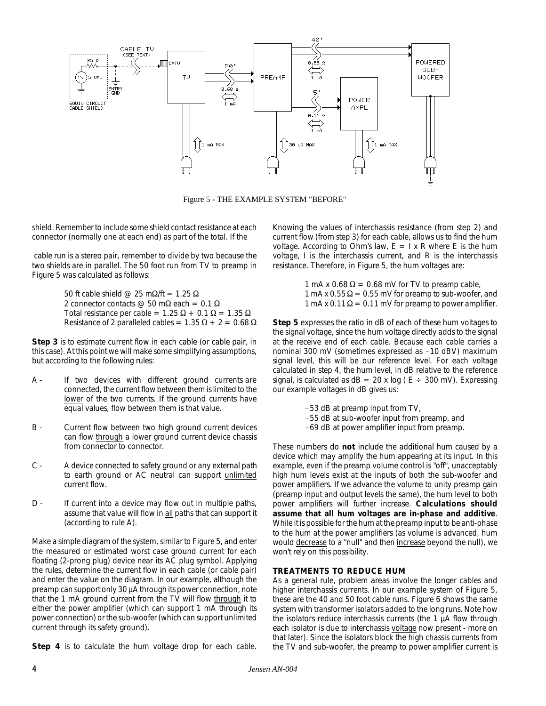

Figure 5 - THE EXAMPLE SYSTEM "BEFORE"

shield. Remember to include some shield contact resistance at each connector (normally one at each end) as part of the total. If the

 cable run is a stereo pair, remember to divide by two because the two shields are in parallel. The 50 foot run from TV to preamp in Figure 5 was calculated as follows:

> 50 ft cable shield @ 25 m $\Omega$ /ft = 1.25  $\Omega$ 2 connector contacts  $\varnothing$  50 m $\Omega$  each = 0.1  $\Omega$ Total resistance per cable =  $1.25 \Omega + 0.1 \Omega = 1.35 \Omega$ Resistance of 2 paralleled cables =  $1.35 \Omega \div 2 = 0.68 \Omega$

**Step 3** is to estimate current flow in each cable (or cable pair, in this case). At this point we will make some simplifying assumptions, but according to the following rules:

- A If two devices with different ground currents are connected, the current flow between them is limited to the lower of the two currents. If the ground currents have equal values, flow between them is that value.
- B Current flow between two high ground current devices can flow through a lower ground current device chassis from connector to connector.
- C A device connected to safety ground or any external path to earth ground or AC neutral can support unlimited current flow.
- D If current into a device may flow out in multiple paths, assume that value will flow in all paths that can support it (according to rule A).

Make a simple diagram of the system, similar to Figure 5, and enter the measured or estimated worst case ground current for each floating (2-prong plug) device near its AC plug symbol. Applying the rules, determine the current flow in each cable (or cable pair) and enter the value on the diagram. In our example, although the preamp can support only 30 µA through its power connection, note that the 1 mA ground current from the TV will flow through it to either the power amplifier *(which can support 1 mA through its power connection)* or the sub-woofer *(which can support unlimited current through its safety ground)*.

**Step 4** is to calculate the hum voltage drop for each cable.

Knowing the values of interchassis resistance (from step 2) and current flow (from step 3) for each cable, allows us to find the hum voltage. According to Ohm's law,  $E = I x R$  where E is the hum voltage, I is the interchassis current, and R is the interchassis resistance. Therefore, in Figure 5, the hum voltages are:

> 1 mA x 0.68  $\Omega$  = 0.68 mV for TV to preamp cable, 1 mA x 0.55  $\Omega$  = 0.55 mV for preamp to sub-woofer, and 1 mA x 0.11  $\Omega$  = 0.11 mV for preamp to power amplifier.

**Step 5** expresses the ratio in dB of each of these hum voltages to the signal voltage, since the hum voltage directly adds to the signal at the receive end of each cable. Because each cable carries a nominal 300 mV (sometimes expressed as  $-10$  dBV) maximum signal level, this will be our reference level. For each voltage calculated in step 4, the hum level, in dB relative to the reference signal, is calculated as  $dB = 20$  x log ( $E \div 300$  mV). Expressing our example voltages in dB gives us:

- -53 dB at preamp input from TV,
- -55 dB at sub-woofer input from preamp, and
- -69 dB at power amplifier input from preamp.

These numbers do *not* include the additional hum caused by a device which may amplify the hum appearing at its input. In this example, even if the preamp volume control is "off", unacceptably high hum levels exist at the inputs of both the sub-woofer and power amplifiers. If we advance the volume to unity preamp gain (preamp input and output levels the same), the hum level to both power amplifiers will further increase. *Calculations should assume that all hum voltages are in-phase and additive*. While it is possible for the hum at the preamp input to be anti-phase to the hum at the power amplifiers *(as volume is advanced, hum would decrease to a "null" and then increase beyond the null)*, we won't rely on this possibility.

## **TREATMENTS TO REDUCE HUM**

As a general rule, problem areas involve the longer cables and higher interchassis currents. In our example system of Figure 5, these are the 40 and 50 foot cable runs. Figure 6 shows the same system with transformer isolators added to the long runs. Note how the isolators reduce interchassis currents *(the 1 µA flow through each isolator is due to interchassis voltage now present - more on that later)*. Since the isolators block the high chassis currents from the TV and sub-woofer, the preamp to power amplifier current is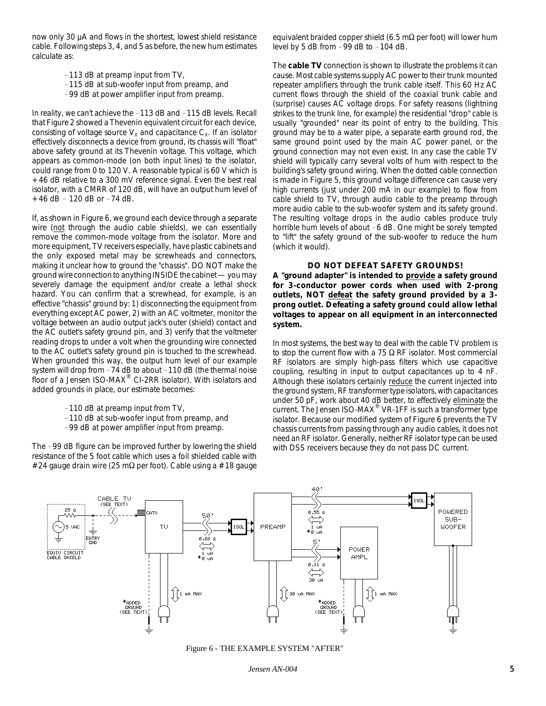now only 30 µA and flows in the shortest, lowest shield resistance cable. Following steps 3, 4, and 5 as before, the new hum estimates calculate as:

- -113 dB at preamp input from TV.
- -115 dB at sub-woofer input from preamp, and
- -99 dB at power amplifier input from preamp.

In reality, we can't achieve the  $-113$  dB and  $-115$  dB levels. Recall that Figure 2 showed a Thevenin equivalent circuit for each device, consisting of voltage source  $\mathbf{V}_\mathbf{x}$  and capacitance  $\mathbf{C}_\mathbf{x}.$  If an isolator effectively disconnects a device from ground, its chassis will "float" above safety ground at its Thevenin voltage. This voltage, which appears as common-mode (on both input lines) to the isolator, could range from 0 to 120 V. A reasonable typical is 60 V which is +46 dB relative to a 300 mV reference signal. Even the best *real* isolator, with a CMRR of 120 dB, will have an output hum level of  $+46$  dB  $- 120$  dB or  $-74$  dB.

If, as shown in Figure 6, we ground each device through a separate wire (not through the audio cable shields), we can essentially remove the common-mode voltage from the isolator. More and more equipment, TV receivers especially, have plastic cabinets and the only exposed metal may be screwheads and connectors, making it unclear how to ground the "chassis". DO NOT make the ground wire connection to anything INSIDE the cabinet — you may severely damage the equipment and/or create a lethal shock hazard. You can confirm that a screwhead, for example, is an effective "chassis" ground by: 1) disconnecting the equipment from everything except AC power, 2) with an AC voltmeter, monitor the voltage between an audio output jack's outer (shield) contact and the AC outlet's safety ground pin, and 3) verify that the voltmeter reading drops to under a volt when the grounding wire connected to the AC outlet's safety ground pin is touched to the screwhead. When grounded this way, the output hum level of our example system will drop from  $-74$  dB to about  $-110$  dB (the thermal noise floor of a Jensen ISO-MAX $^{\circ\!\!\!\!\!^\circ}$  CI-2RR isolator). With isolators and added grounds in place, our estimate becomes:

- -110 dB at preamp input from TV,
- -110 dB at sub-woofer input from preamp, and
- -99 dB at power amplifier input from preamp.

The -99 dB figure can be improved further by lowering the shield resistance of the 5 foot cable which uses a foil shielded cable with #24 gauge drain wire (25 m $\Omega$  per foot). Cable using a #18 gauge equivalent braided copper shield (6.5 m $\Omega$  per foot) will lower hum level by 5 dB from  $-99$  dB to  $-104$  dB.

The *cable TV* connection is shown to illustrate the problems it can cause. Most cable systems supply AC power to their trunk mounted repeater amplifiers through the trunk cable itself. This 60 Hz AC current flows through the shield of the coaxial trunk cable and (surprise) causes AC voltage drops. For safety reasons (lightning strikes to the trunk line, for example) the residential "drop" cable is usually "grounded" near its point of entry to the building. This ground may be to a water pipe, a separate earth ground rod, the same ground point used by the main AC power panel, or the ground connection may not even exist. In any case the cable TV shield will typically carry several volts of hum with respect to the building's safety ground wiring. When the dotted cable connection is made in Figure 5, this ground voltage difference can cause very high currents (just under 200 mA in our example) to flow from cable shield to TV, through audio cable to the preamp through more audio cable to the sub-woofer system and its safety ground. The resulting voltage drops in the audio cables produce truly horrible hum levels of about -6 dB. One might be sorely tempted to "lift" the safety ground of the sub-woofer to reduce the hum (which it would).

#### **DO NOT DEFEAT SAFETY GROUNDS!**

*A "ground adapter" is intended to provide a safety ground for 3-conductor power cords when used with 2-prong outlets, NOT defeat the safety ground provided by a 3 prong outlet. Defeating a safety ground could allow lethal voltages to appear on all equipment in an interconnected system.*

In most systems, the best way to deal with the cable TV problem is to stop the current flow with a 75  $\Omega$  RF isolator. Most commercial RF isolators are simply high-pass filters which use capacitive coupling, resulting in input to output capacitances up to 4 nF. Although these isolators certainly *reduce* the current injected into the ground system, RF transformer type isolators, with capacitances under 50 pF, work about 40 dB better, to effectively *eliminate* the current. The Jensen ISO-MAX<sup>®</sup> VR-1FF is such a transformer type isolator. Because our modified system of Figure 6 prevents the TV chassis currents from passing through any audio cables, it does not need an RF isolator. Generally, neither RF isolator type can be used with DSS receivers because they do not pass DC current.



Figure 6 - THE EXAMPLE SYSTEM "AFTER"